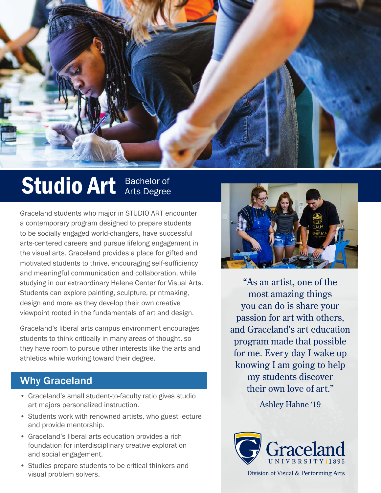

## Studio Art Bachelor of

Graceland students who major in STUDIO ART encounter a contemporary program designed to prepare students to be socially engaged world-changers, have successful arts-centered careers and pursue lifelong engagement in the visual arts. Graceland provides a place for gifted and motivated students to thrive, encouraging self-sufficiency and meaningful communication and collaboration, while studying in our extraordinary Helene Center for Visual Arts. Students can explore painting, sculpture, printmaking, design and more as they develop their own creative viewpoint rooted in the fundamentals of art and design.

Graceland's liberal arts campus environment encourages students to think critically in many areas of thought, so they have room to pursue other interests like the arts and athletics while working toward their degree.

## Why Graceland

- Graceland's small student-to-faculty ratio gives studio art majors personalized instruction.
- Students work with renowned artists, who guest lecture and provide mentorship.
- Graceland's liberal arts education provides a rich foundation for interdisciplinary creative exploration and social engagement.
- Studies prepare students to be critical thinkers and visual problem solvers.



"As an artist, one of the most amazing things you can do is share your passion for art with others, and Graceland's art education program made that possible for me. Every day I wake up knowing I am going to help my students discover their own love of art."

Ashley Hahne '19



Division of Visual & Performing Arts